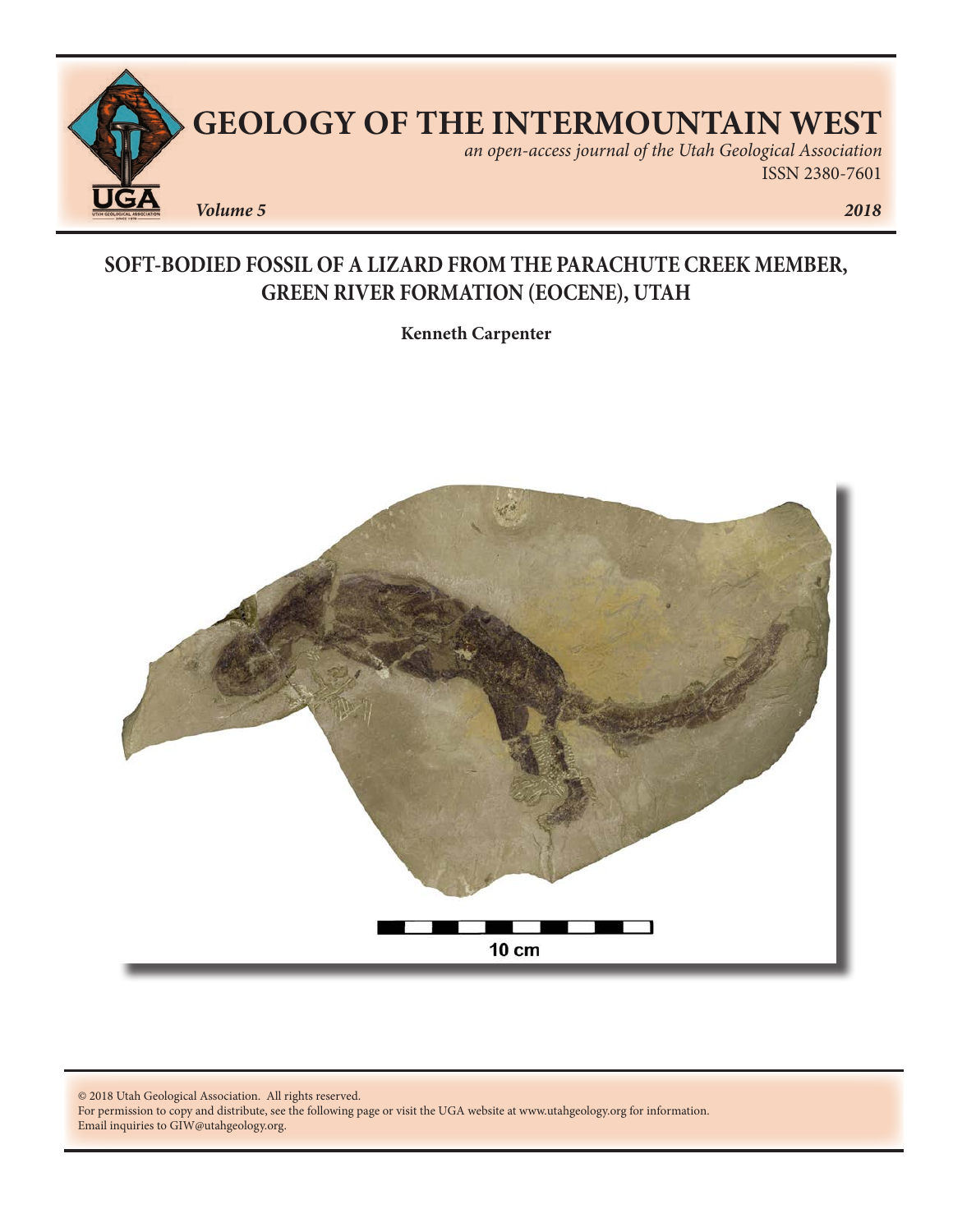

# **SOFT-BODIED FOSSIL OF A LIZARD FROM THE PARACHUTE CREEK MEMBER, GREEN RIVER FORMATION (EOCENE), UTAH**

**Kenneth Carpenter**



© 2018 Utah Geological Association. All rights reserved.

For permission to copy and distribute, see the following page or visit the UGA website at www.utahgeology.org for information. Email inquiries to GIW@utahgeology.org.

ISSN 2380-7601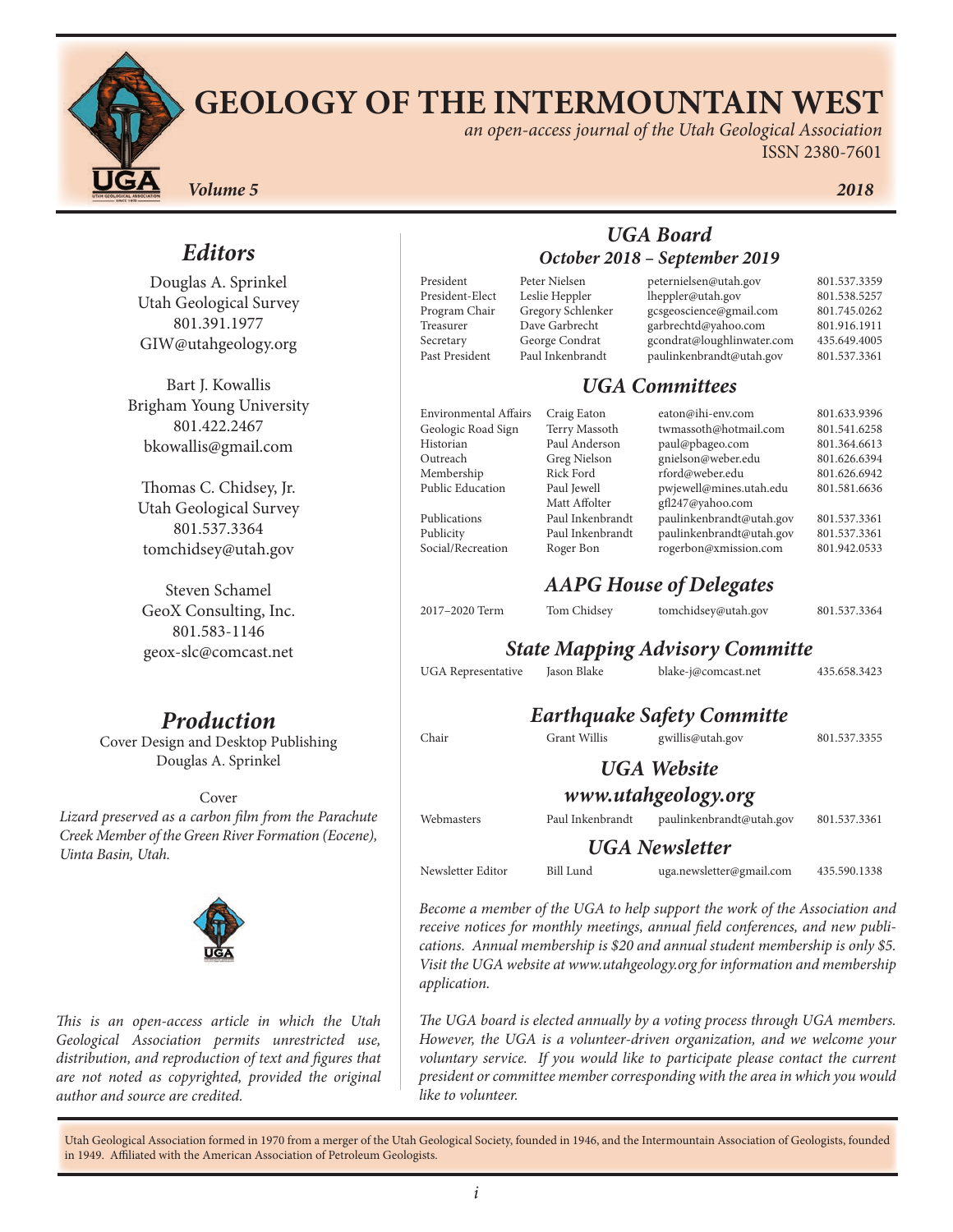# **GEOLOGY OF THE INTERMOUNTAIN WEST**

*an open-access journal of the Utah Geological Association* ISSN 2380-7601

*Volume 5 2018*

Douglas A. Sprinkel Utah Geological Survey 801.391.1977 GIW@utahgeology.org

Bart J. Kowallis Brigham Young University 801.422.2467 bkowallis@gmail.com

Thomas C. Chidsey, Jr. Utah Geological Survey 801.537.3364 tomchidsey@utah.gov

Steven Schamel GeoX Consulting, Inc. 801.583-1146 geox-slc@comcast.net

# *Production*

Cover Design and Desktop Publishing Douglas A. Sprinkel

Cover

*Lizard preserved as a carbon film from the Parachute Creek Member of the Green River Formation (Eocene), Uinta Basin, Utah.* 



*This is an open-access article in which the Utah Geological Association permits unrestricted use, distribution, and reproduction of text and figures that are not noted as copyrighted, provided the original author and source are credited.*

| President       |  |
|-----------------|--|
| President-Elect |  |
| Program Chair   |  |
| Treasurer       |  |
| Secretary       |  |
| Past President  |  |

#### *UGA Board October 2018 – September 2019*

|                           | Peter Nielsen     |                     | peternielsen@utah.gov                  | 801.537.3359 |
|---------------------------|-------------------|---------------------|----------------------------------------|--------------|
| President-Elect           | Leslie Heppler    |                     | lheppler@utah.gov                      | 801.538.5257 |
| Program Chair             | Gregory Schlenker |                     | gcsgeoscience@gmail.com                | 801.745.0262 |
| Treasurer                 | Dave Garbrecht    |                     | garbrechtd@yahoo.com                   | 801.916.1911 |
| Secretary                 | George Condrat    |                     | gcondrat@loughlinwater.com             | 435.649.4005 |
| Past President            | Paul Inkenbrandt  |                     | paulinkenbrandt@utah.gov               | 801.537.3361 |
|                           |                   |                     | <b>UGA Committees</b>                  |              |
| Environmental Affairs     |                   | Craig Eaton         | eaton@ihi-env.com                      | 801.633.9396 |
| Geologic Road Sign        |                   | Terry Massoth       | twmassoth@hotmail.com                  | 801.541.6258 |
| Historian                 |                   | Paul Anderson       | paul@pbageo.com                        | 801.364.6613 |
| Outreach                  |                   | Greg Nielson        | gnielson@weber.edu                     | 801.626.6394 |
| Membership                | <b>Rick Ford</b>  |                     | rford@weber.edu                        | 801.626.6942 |
| <b>Public Education</b>   | Paul Jewell       |                     | pwjewell@mines.utah.edu                | 801.581.6636 |
|                           |                   | Matt Affolter       | gfl247@yahoo.com                       |              |
| Publications              |                   | Paul Inkenbrandt    | paulinkenbrandt@utah.gov               | 801.537.3361 |
| Publicity                 |                   | Paul Inkenbrandt    | paulinkenbrandt@utah.gov               | 801.537.3361 |
| Social/Recreation         | Roger Bon         |                     | rogerbon@xmission.com                  | 801.942.0533 |
|                           |                   |                     | <b>AAPG House of Delegates</b>         |              |
| 2017-2020 Term            |                   | Tom Chidsey         | tomchidsey@utah.gov                    | 801.537.3364 |
|                           |                   |                     | <b>State Mapping Advisory Committe</b> |              |
| <b>UGA</b> Representative |                   | Jason Blake         | blake-j@comcast.net                    | 435.658.3423 |
|                           |                   |                     | <b>Earthquake Safety Committe</b>      |              |
| Chair                     |                   | <b>Grant Willis</b> | gwillis@utah.gov                       | 801.537.3355 |
|                           |                   |                     | <b>UGA</b> Website                     |              |
|                           |                   |                     |                                        |              |
|                           |                   |                     |                                        |              |
|                           |                   |                     | www.utahgeology.org                    |              |
| Webmasters                |                   | Paul Inkenbrandt    | paulinkenbrandt@utah.gov               |              |
|                           |                   |                     | <b>UGA</b> Newsletter                  | 801.537.3361 |

*receive notices for monthly meetings, annual field conferences, and new publications. Annual membership is \$20 and annual student membership is only \$5. Visit the UGA website at www.utahgeology.org for information and membership application.*

*The UGA board is elected annually by a voting process through UGA members. However, the UGA is a volunteer-driven organization, and we welcome your voluntary service.* If you would like to participate please contact the current *president or committee member corresponding with the area in which you would like to volunteer.*

Utah Geological Association formed in 1970 from a merger of the Utah Geological Society, founded in 1946, and the Intermountain Association of Geologists, founded in 1949. Affiliated with the American Association of Petroleum Geologists.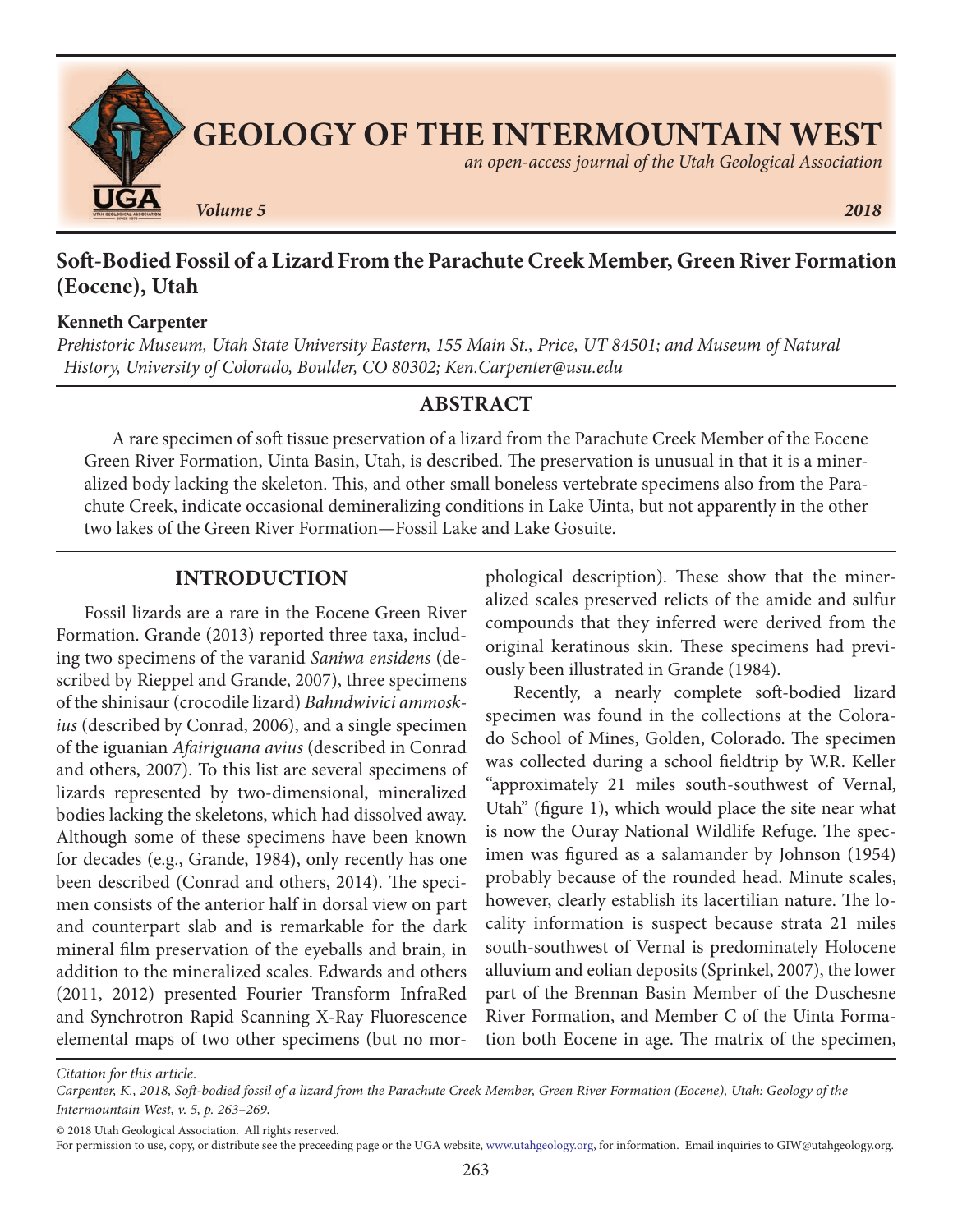

## **Soft-Bodied Fossil of a Lizard From the Parachute Creek Member, Green River Formation (Eocene), Utah**

#### **Kenneth Carpenter**

*Prehistoric Museum, Utah State University Eastern, 155 Main St., Price, UT 84501; and Museum of Natural History, University of Colorado, Boulder, CO 80302; Ken.Carpenter@usu.edu*

#### **ABSTRACT**

A rare specimen of soft tissue preservation of a lizard from the Parachute Creek Member of the Eocene Green River Formation, Uinta Basin, Utah, is described. The preservation is unusual in that it is a mineralized body lacking the skeleton. This, and other small boneless vertebrate specimens also from the Parachute Creek, indicate occasional demineralizing conditions in Lake Uinta, but not apparently in the other two lakes of the Green River Formation—Fossil Lake and Lake Gosuite.

### **INTRODUCTION**

Fossil lizards are a rare in the Eocene Green River Formation. Grande (2013) reported three taxa, including two specimens of the varanid *Saniwa ensidens* (described by Rieppel and Grande, 2007), three specimens of the shinisaur (crocodile lizard) *Bahndwivici ammoskius* (described by Conrad, 2006), and a single specimen of the iguanian *Afairiguana avius* (described in Conrad and others, 2007). To this list are several specimens of lizards represented by two-dimensional, mineralized bodies lacking the skeletons, which had dissolved away. Although some of these specimens have been known for decades (e.g., Grande, 1984), only recently has one been described (Conrad and others, 2014). The specimen consists of the anterior half in dorsal view on part and counterpart slab and is remarkable for the dark mineral film preservation of the eyeballs and brain, in addition to the mineralized scales. Edwards and others (2011, 2012) presented Fourier Transform InfraRed and Synchrotron Rapid Scanning X-Ray Fluorescence elemental maps of two other specimens (but no morphological description). These show that the mineralized scales preserved relicts of the amide and sulfur compounds that they inferred were derived from the original keratinous skin. These specimens had previously been illustrated in Grande (1984).

Recently, a nearly complete soft-bodied lizard specimen was found in the collections at the Colorado School of Mines, Golden, Colorado. The specimen was collected during a school fieldtrip by W.R. Keller "approximately 21 miles south-southwest of Vernal, Utah" (figure 1), which would place the site near what is now the Ouray National Wildlife Refuge. The specimen was figured as a salamander by Johnson (1954) probably because of the rounded head. Minute scales, however, clearly establish its lacertilian nature. The locality information is suspect because strata 21 miles south-southwest of Vernal is predominately Holocene alluvium and eolian deposits (Sprinkel, 2007), the lower part of the Brennan Basin Member of the Duschesne River Formation, and Member C of the Uinta Formation both Eocene in age. The matrix of the specimen,

*Citation for this article.*

© 2018 Utah Geological Association. All rights reserved.

*Carpenter, K., 2018, Soft-bodied fossil of a lizard from the Parachute Creek Member, Green River Formation (Eocene), Utah: Geology of the Intermountain West, v. 5, p. 263–269.*

For permission to use, copy, or distribute see the preceeding page or the UGA website, www.utahgeology.org, for information. Email inquiries to GIW@utahgeology.org.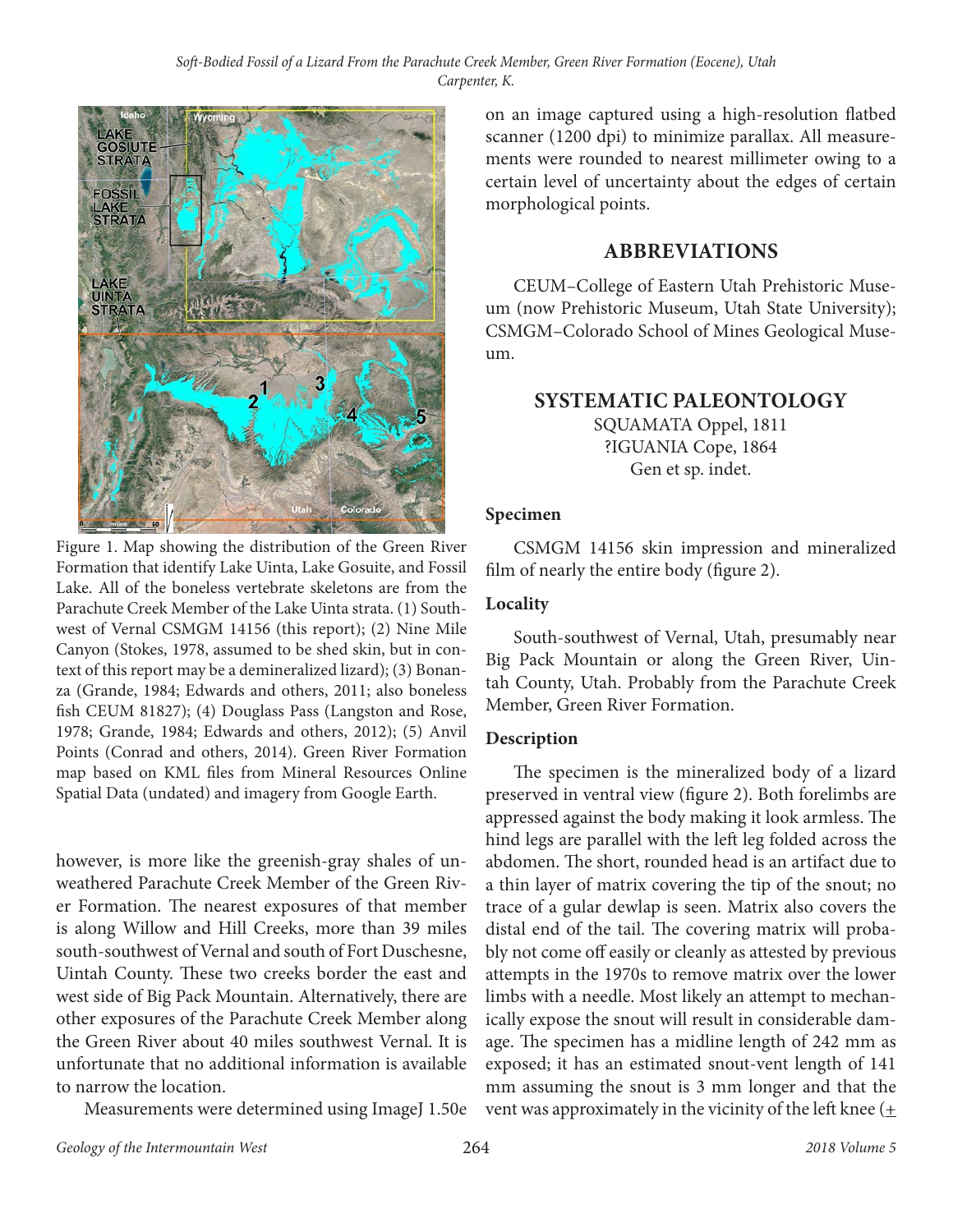

Figure 1. Map showing the distribution of the Green River Formation that identify Lake Uinta, Lake Gosuite, and Fossil Lake. All of the boneless vertebrate skeletons are from the Parachute Creek Member of the Lake Uinta strata. (1) Southwest of Vernal CSMGM 14156 (this report); (2) Nine Mile Canyon (Stokes, 1978, assumed to be shed skin, but in context of this report may be a demineralized lizard); (3) Bonanza (Grande, 1984; Edwards and others, 2011; also boneless fish CEUM 81827); (4) Douglass Pass (Langston and Rose, 1978; Grande, 1984; Edwards and others, 2012); (5) Anvil Points (Conrad and others, 2014). Green River Formation map based on KML files from Mineral Resources Online Spatial Data (undated) and imagery from Google Earth.

however, is more like the greenish-gray shales of unweathered Parachute Creek Member of the Green River Formation. The nearest exposures of that member is along Willow and Hill Creeks, more than 39 miles south-southwest of Vernal and south of Fort Duschesne, Uintah County. These two creeks border the east and west side of Big Pack Mountain. Alternatively, there are other exposures of the Parachute Creek Member along the Green River about 40 miles southwest Vernal. It is unfortunate that no additional information is available to narrow the location.

Measurements were determined using ImageJ 1.50e

on an image captured using a high-resolution flatbed scanner (1200 dpi) to minimize parallax. All measurements were rounded to nearest millimeter owing to a certain level of uncertainty about the edges of certain morphological points.

#### **ABBREVIATIONS**

CEUM–College of Eastern Utah Prehistoric Museum (now Prehistoric Museum, Utah State University); CSMGM–Colorado School of Mines Geological Museum.

#### **SYSTEMATIC PALEONTOLOGY**

SQUAMATA Oppel, 1811 ?IGUANIA Cope, 1864 Gen et sp. indet.

#### **Specimen**

CSMGM 14156 skin impression and mineralized film of nearly the entire body (figure 2).

#### **Locality**

South-southwest of Vernal, Utah, presumably near Big Pack Mountain or along the Green River, Uintah County, Utah. Probably from the Parachute Creek Member, Green River Formation.

#### **Description**

The specimen is the mineralized body of a lizard preserved in ventral view (figure 2). Both forelimbs are appressed against the body making it look armless. The hind legs are parallel with the left leg folded across the abdomen. The short, rounded head is an artifact due to a thin layer of matrix covering the tip of the snout; no trace of a gular dewlap is seen. Matrix also covers the distal end of the tail. The covering matrix will probably not come off easily or cleanly as attested by previous attempts in the 1970s to remove matrix over the lower limbs with a needle. Most likely an attempt to mechanically expose the snout will result in considerable damage. The specimen has a midline length of 242 mm as exposed; it has an estimated snout-vent length of 141 mm assuming the snout is 3 mm longer and that the vent was approximately in the vicinity of the left knee  $($  +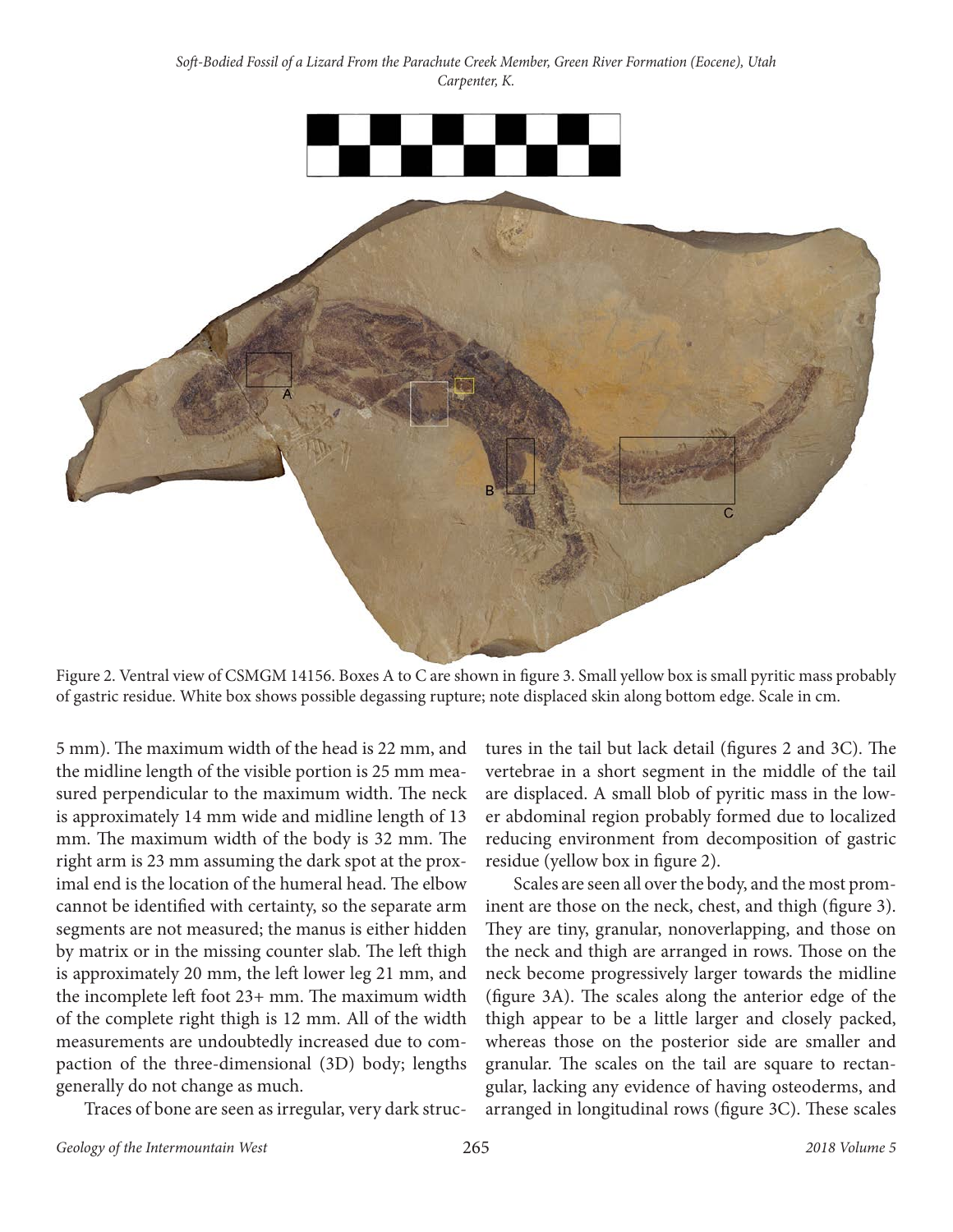

Figure 2. Ventral view of CSMGM 14156. Boxes A to C are shown in figure 3. Small yellow box is small pyritic mass probably of gastric residue. White box shows possible degassing rupture; note displaced skin along bottom edge. Scale in cm.

5 mm). The maximum width of the head is 22 mm, and the midline length of the visible portion is 25 mm measured perpendicular to the maximum width. The neck is approximately 14 mm wide and midline length of 13 mm. The maximum width of the body is 32 mm. The right arm is 23 mm assuming the dark spot at the proximal end is the location of the humeral head. The elbow cannot be identified with certainty, so the separate arm segments are not measured; the manus is either hidden by matrix or in the missing counter slab. The left thigh is approximately 20 mm, the left lower leg 21 mm, and the incomplete left foot 23+ mm. The maximum width of the complete right thigh is 12 mm. All of the width measurements are undoubtedly increased due to compaction of the three-dimensional (3D) body; lengths generally do not change as much.

Traces of bone are seen as irregular, very dark struc-

tures in the tail but lack detail (figures 2 and 3C). The vertebrae in a short segment in the middle of the tail are displaced. A small blob of pyritic mass in the lower abdominal region probably formed due to localized reducing environment from decomposition of gastric residue (yellow box in figure 2).

Scales are seen all over the body, and the most prominent are those on the neck, chest, and thigh (figure 3). They are tiny, granular, nonoverlapping, and those on the neck and thigh are arranged in rows. Those on the neck become progressively larger towards the midline (figure 3A). The scales along the anterior edge of the thigh appear to be a little larger and closely packed, whereas those on the posterior side are smaller and granular. The scales on the tail are square to rectangular, lacking any evidence of having osteoderms, and arranged in longitudinal rows (figure 3C). These scales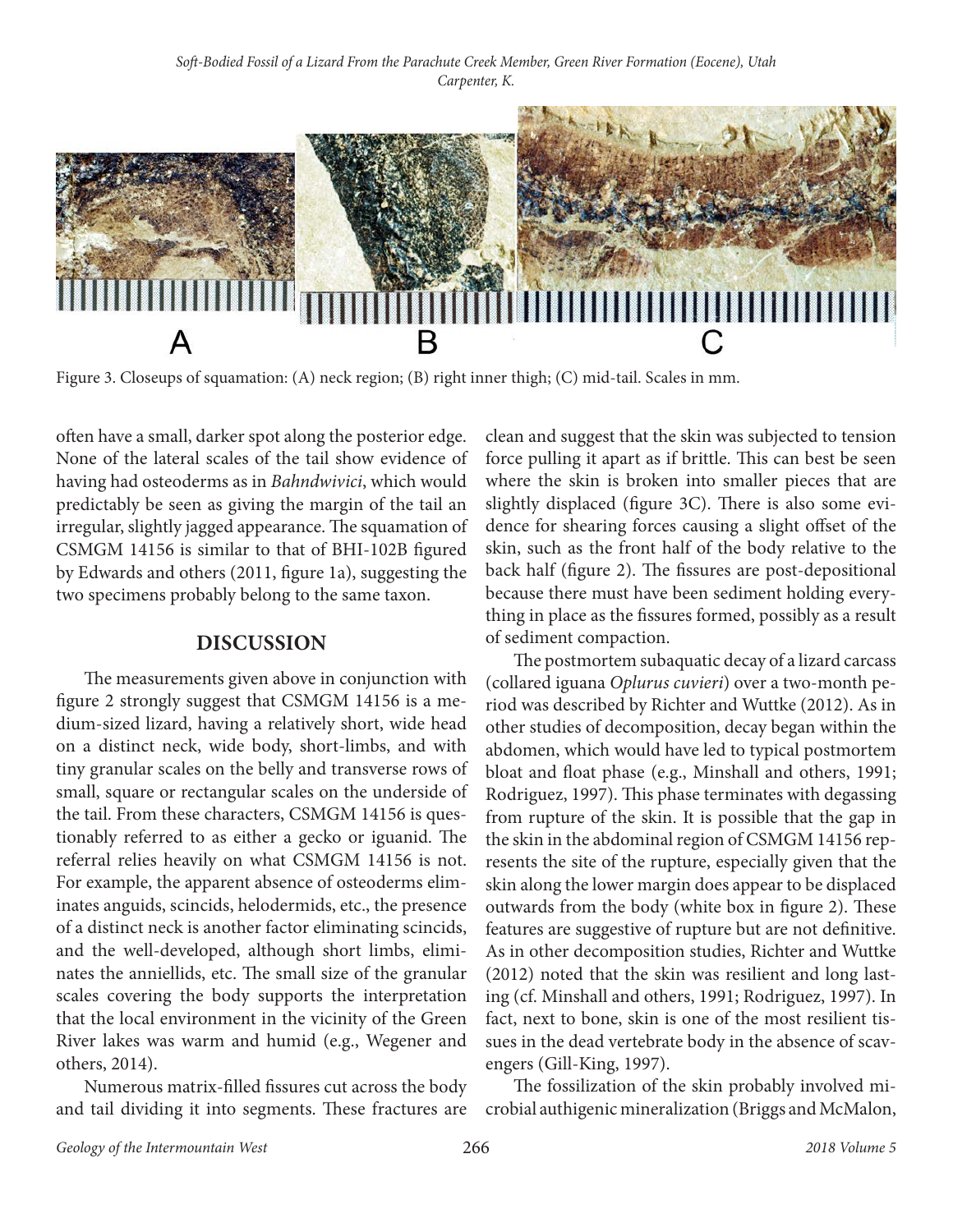

Figure 3. Closeups of squamation: (A) neck region; (B) right inner thigh; (C) mid-tail. Scales in mm.

often have a small, darker spot along the posterior edge. None of the lateral scales of the tail show evidence of having had osteoderms as in *Bahndwivici*, which would predictably be seen as giving the margin of the tail an irregular, slightly jagged appearance. The squamation of CSMGM 14156 is similar to that of BHI-102B figured by Edwards and others (2011, figure 1a), suggesting the two specimens probably belong to the same taxon.

#### **DISCUSSION**

The measurements given above in conjunction with figure 2 strongly suggest that CSMGM 14156 is a medium-sized lizard, having a relatively short, wide head on a distinct neck, wide body, short-limbs, and with tiny granular scales on the belly and transverse rows of small, square or rectangular scales on the underside of the tail. From these characters, CSMGM 14156 is questionably referred to as either a gecko or iguanid. The referral relies heavily on what CSMGM 14156 is not. For example, the apparent absence of osteoderms eliminates anguids, scincids, helodermids, etc., the presence of a distinct neck is another factor eliminating scincids, and the well-developed, although short limbs, eliminates the anniellids, etc. The small size of the granular scales covering the body supports the interpretation that the local environment in the vicinity of the Green River lakes was warm and humid (e.g., Wegener and others, 2014).

Numerous matrix-filled fissures cut across the body and tail dividing it into segments. These fractures are

clean and suggest that the skin was subjected to tension force pulling it apart as if brittle. This can best be seen where the skin is broken into smaller pieces that are slightly displaced (figure 3C). There is also some evidence for shearing forces causing a slight offset of the skin, such as the front half of the body relative to the back half (figure 2). The fissures are post-depositional because there must have been sediment holding everything in place as the fissures formed, possibly as a result of sediment compaction.

The postmortem subaquatic decay of a lizard carcass (collared iguana *Oplurus cuvieri*) over a two-month period was described by Richter and Wuttke (2012). As in other studies of decomposition, decay began within the abdomen, which would have led to typical postmortem bloat and float phase (e.g., Minshall and others, 1991; Rodriguez, 1997). This phase terminates with degassing from rupture of the skin. It is possible that the gap in the skin in the abdominal region of CSMGM 14156 represents the site of the rupture, especially given that the skin along the lower margin does appear to be displaced outwards from the body (white box in figure 2). These features are suggestive of rupture but are not definitive. As in other decomposition studies, Richter and Wuttke (2012) noted that the skin was resilient and long lasting (cf. Minshall and others, 1991; Rodriguez, 1997). In fact, next to bone, skin is one of the most resilient tissues in the dead vertebrate body in the absence of scavengers (Gill-King, 1997).

The fossilization of the skin probably involved microbial authigenic mineralization (Briggs and McMalon,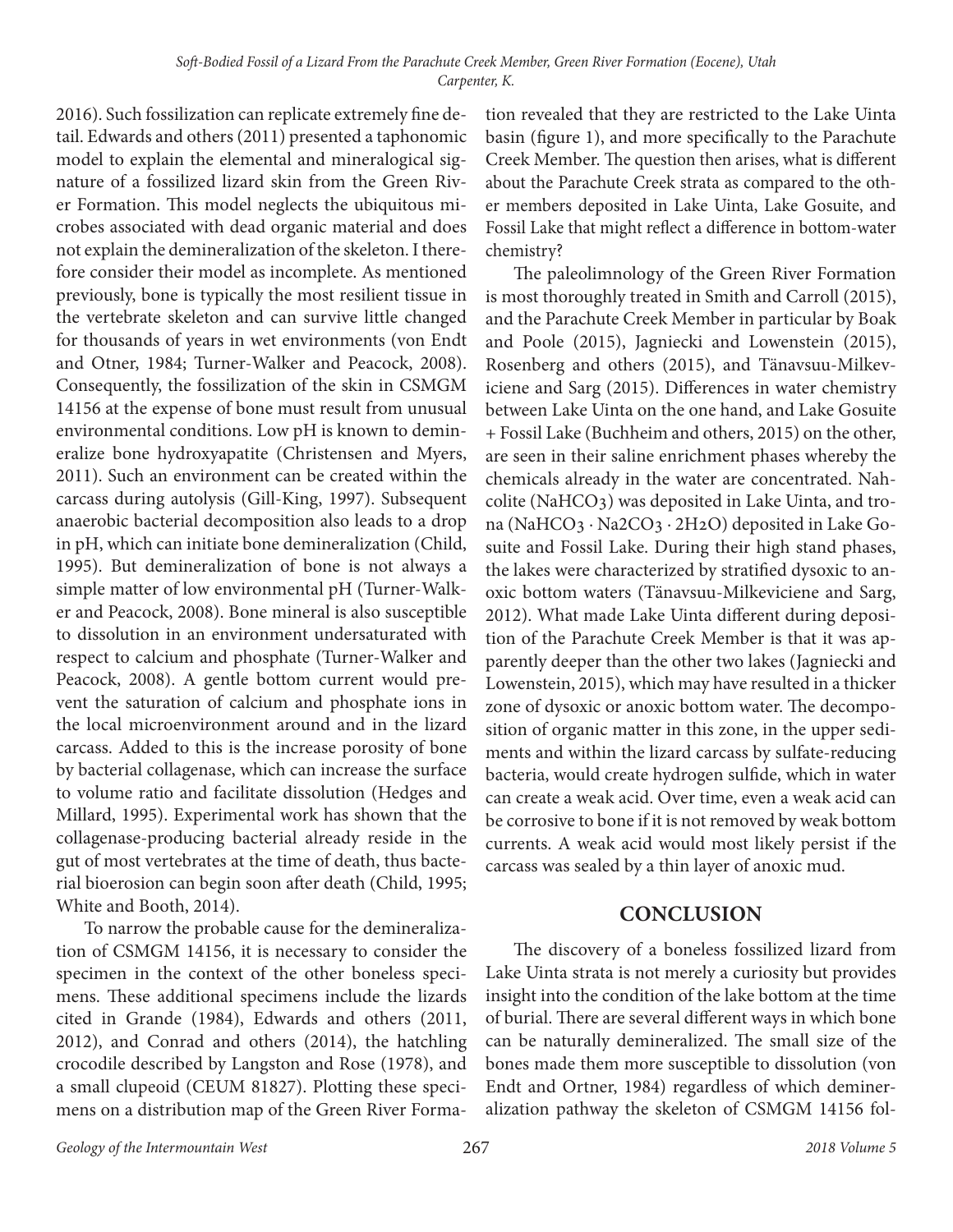2016). Such fossilization can replicate extremely fine detail. Edwards and others (2011) presented a taphonomic model to explain the elemental and mineralogical signature of a fossilized lizard skin from the Green River Formation. This model neglects the ubiquitous microbes associated with dead organic material and does not explain the demineralization of the skeleton. I therefore consider their model as incomplete. As mentioned previously, bone is typically the most resilient tissue in the vertebrate skeleton and can survive little changed for thousands of years in wet environments (von Endt and Otner, 1984; Turner-Walker and Peacock, 2008). Consequently, the fossilization of the skin in CSMGM 14156 at the expense of bone must result from unusual environmental conditions. Low pH is known to demineralize bone hydroxyapatite (Christensen and Myers, 2011). Such an environment can be created within the carcass during autolysis (Gill-King, 1997). Subsequent anaerobic bacterial decomposition also leads to a drop in pH, which can initiate bone demineralization (Child, 1995). But demineralization of bone is not always a simple matter of low environmental pH (Turner-Walker and Peacock, 2008). Bone mineral is also susceptible to dissolution in an environment undersaturated with respect to calcium and phosphate (Turner-Walker and Peacock, 2008). A gentle bottom current would prevent the saturation of calcium and phosphate ions in the local microenvironment around and in the lizard carcass. Added to this is the increase porosity of bone by bacterial collagenase, which can increase the surface to volume ratio and facilitate dissolution (Hedges and Millard, 1995). Experimental work has shown that the collagenase-producing bacterial already reside in the gut of most vertebrates at the time of death, thus bacterial bioerosion can begin soon after death (Child, 1995; White and Booth, 2014).

To narrow the probable cause for the demineralization of CSMGM 14156, it is necessary to consider the specimen in the context of the other boneless specimens. These additional specimens include the lizards cited in Grande (1984), Edwards and others (2011, 2012), and Conrad and others (2014), the hatchling crocodile described by Langston and Rose (1978), and a small clupeoid (CEUM 81827). Plotting these specimens on a distribution map of the Green River Formation revealed that they are restricted to the Lake Uinta basin (figure 1), and more specifically to the Parachute Creek Member. The question then arises, what is different about the Parachute Creek strata as compared to the other members deposited in Lake Uinta, Lake Gosuite, and Fossil Lake that might reflect a difference in bottom-water chemistry?

The paleolimnology of the Green River Formation is most thoroughly treated in Smith and Carroll (2015), and the Parachute Creek Member in particular by Boak and Poole (2015), Jagniecki and Lowenstein (2015), Rosenberg and others (2015), and Tänavsuu-Milkeviciene and Sarg (2015). Differences in water chemistry between Lake Uinta on the one hand, and Lake Gosuite + Fossil Lake (Buchheim and others, 2015) on the other, are seen in their saline enrichment phases whereby the chemicals already in the water are concentrated. Nahcolite (NaHCO3) was deposited in Lake Uinta, and trona (NaHCO3 ∙ Na2CO3 ∙ 2H2O) deposited in Lake Gosuite and Fossil Lake. During their high stand phases, the lakes were characterized by stratified dysoxic to anoxic bottom waters (Tänavsuu-Milkeviciene and Sarg, 2012). What made Lake Uinta different during deposition of the Parachute Creek Member is that it was apparently deeper than the other two lakes (Jagniecki and Lowenstein, 2015), which may have resulted in a thicker zone of dysoxic or anoxic bottom water. The decomposition of organic matter in this zone, in the upper sediments and within the lizard carcass by sulfate-reducing bacteria, would create hydrogen sulfide, which in water can create a weak acid. Over time, even a weak acid can be corrosive to bone if it is not removed by weak bottom currents. A weak acid would most likely persist if the carcass was sealed by a thin layer of anoxic mud.

#### **CONCLUSION**

The discovery of a boneless fossilized lizard from Lake Uinta strata is not merely a curiosity but provides insight into the condition of the lake bottom at the time of burial. There are several different ways in which bone can be naturally demineralized. The small size of the bones made them more susceptible to dissolution (von Endt and Ortner, 1984) regardless of which demineralization pathway the skeleton of CSMGM 14156 fol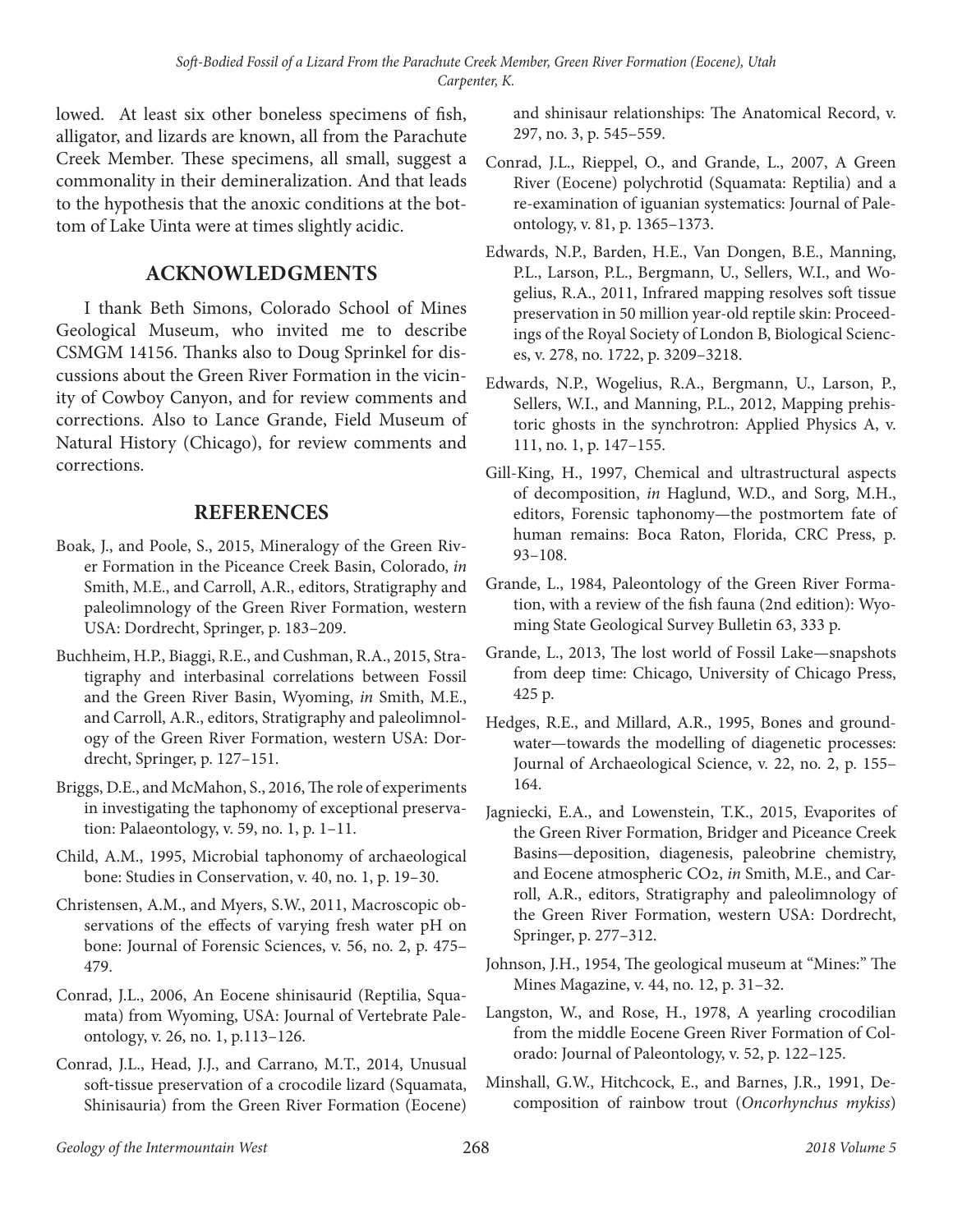lowed. At least six other boneless specimens of fish, alligator, and lizards are known, all from the Parachute Creek Member. These specimens, all small, suggest a commonality in their demineralization. And that leads to the hypothesis that the anoxic conditions at the bottom of Lake Uinta were at times slightly acidic.

#### **ACKNOWLEDGMENTS**

I thank Beth Simons, Colorado School of Mines Geological Museum, who invited me to describe CSMGM 14156. Thanks also to Doug Sprinkel for discussions about the Green River Formation in the vicinity of Cowboy Canyon, and for review comments and corrections. Also to Lance Grande, Field Museum of Natural History (Chicago), for review comments and corrections.

#### **REFERENCES**

- Boak, J., and Poole, S., 2015, Mineralogy of the Green River Formation in the Piceance Creek Basin, Colorado, *in* Smith, M.E., and Carroll, A.R., editors, Stratigraphy and paleolimnology of the Green River Formation, western USA: Dordrecht, Springer, p. 183–209.
- Buchheim, H.P., Biaggi, R.E., and Cushman, R.A., 2015, Stratigraphy and interbasinal correlations between Fossil and the Green River Basin, Wyoming, *in* Smith, M.E., and Carroll, A.R., editors, Stratigraphy and paleolimnology of the Green River Formation, western USA: Dordrecht, Springer, p. 127–151.
- Briggs, D.E., and McMahon, S., 2016, The role of experiments in investigating the taphonomy of exceptional preservation: Palaeontology, v. 59, no. 1, p. 1–11.
- Child, A.M., 1995, Microbial taphonomy of archaeological bone: Studies in Conservation, v. 40, no. 1, p. 19–30.
- Christensen, A.M., and Myers, S.W., 2011, Macroscopic observations of the effects of varying fresh water pH on bone: Journal of Forensic Sciences, v. 56, no. 2, p. 475– 479.
- Conrad, J.L., 2006, An Eocene shinisaurid (Reptilia, Squamata) from Wyoming, USA: Journal of Vertebrate Paleontology, v. 26, no. 1, p.113–126.
- Conrad, J.L., Head, J.J., and Carrano, M.T., 2014, Unusual soft-tissue preservation of a crocodile lizard (Squamata, Shinisauria) from the Green River Formation (Eocene)

and shinisaur relationships: The Anatomical Record, v. 297, no. 3, p. 545–559.

- Conrad, J.L., Rieppel, O., and Grande, L., 2007, A Green River (Eocene) polychrotid (Squamata: Reptilia) and a re-examination of iguanian systematics: Journal of Paleontology, v. 81, p. 1365–1373.
- Edwards, N.P., Barden, H.E., Van Dongen, B.E., Manning, P.L., Larson, P.L., Bergmann, U., Sellers, W.I., and Wogelius, R.A., 2011, Infrared mapping resolves soft tissue preservation in 50 million year-old reptile skin: Proceedings of the Royal Society of London B, Biological Sciences, v. 278, no. 1722, p. 3209–3218.
- Edwards, N.P., Wogelius, R.A., Bergmann, U., Larson, P., Sellers, W.I., and Manning, P.L., 2012, Mapping prehistoric ghosts in the synchrotron: Applied Physics A, v. 111, no. 1, p. 147–155.
- Gill-King, H., 1997, Chemical and ultrastructural aspects of decomposition, *in* Haglund, W.D., and Sorg, M.H., editors, Forensic taphonomy—the postmortem fate of human remains: Boca Raton, Florida, CRC Press, p. 93–108.
- Grande, L., 1984, Paleontology of the Green River Formation, with a review of the fish fauna (2nd edition): Wyoming State Geological Survey Bulletin 63, 333 p.
- Grande, L., 2013, The lost world of Fossil Lake—snapshots from deep time: Chicago, University of Chicago Press, 425 p.
- Hedges, R.E., and Millard, A.R., 1995, Bones and groundwater—towards the modelling of diagenetic processes: Journal of Archaeological Science, v. 22, no. 2, p. 155– 164.
- Jagniecki, E.A., and Lowenstein, T.K., 2015, Evaporites of the Green River Formation, Bridger and Piceance Creek Basins—deposition, diagenesis, paleobrine chemistry, and Eocene atmospheric CO2, *in* Smith, M.E., and Carroll, A.R., editors, Stratigraphy and paleolimnology of the Green River Formation, western USA: Dordrecht, Springer, p. 277–312.
- Johnson, J.H., 1954, The geological museum at "Mines:" The Mines Magazine, v. 44, no. 12, p. 31–32.
- Langston, W., and Rose, H., 1978, A yearling crocodilian from the middle Eocene Green River Formation of Colorado: Journal of Paleontology, v. 52, p. 122–125.
- Minshall, G.W., Hitchcock, E., and Barnes, J.R., 1991, Decomposition of rainbow trout (*Oncorhynchus mykiss*)